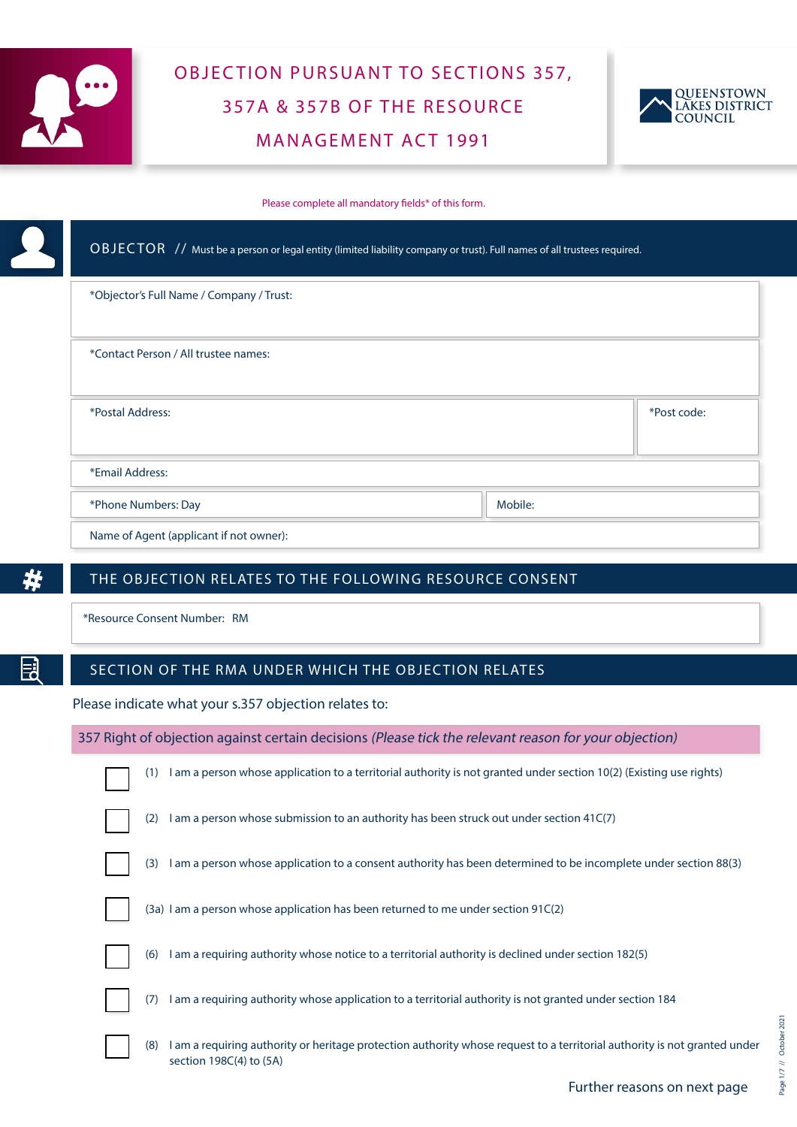

# OBJECTION PURSUANT TO SECTIONS 357, 357A & 357B OF THE RESOURCE MANAGEMENT ACT 1991



Please complete all mandatory fields\* of this form.

| *Objector's Full Name / Company / Trust: |             |
|------------------------------------------|-------------|
| *Contact Person / All trustee names:     |             |
| *Postal Address:                         | *Post code: |
|                                          |             |
| *Email Address:                          |             |

#

E

# THE OBJECTION RELATES TO THE FOLLOWING RESOURCE CONSENT

\*Resource Consent Number: RM

## SECTION OF THE RMA UNDER WHICH THE OBJECTION RELATES

Please indicate what your s.357 objection relates to:

|     | 357 Right of objection against certain decisions (Please tick the relevant reason for your objection)                                                |
|-----|------------------------------------------------------------------------------------------------------------------------------------------------------|
| (1) | I am a person whose application to a territorial authority is not granted under section 10(2) (Existing use rights)                                  |
| (2) | I am a person whose submission to an authority has been struck out under section 41C(7)                                                              |
| (3) | I am a person whose application to a consent authority has been determined to be incomplete under section 88(3)                                      |
|     | $(3a)$ I am a person whose application has been returned to me under section 91C $(2)$                                                               |
| (6) | I am a requiring authority whose notice to a territorial authority is declined under section 182(5)                                                  |
| (7) | I am a requiring authority whose application to a territorial authority is not granted under section 184                                             |
| (8) | I am a requiring authority or heritage protection authority whose request to a territorial authority is not granted under<br>section 198C(4) to (5A) |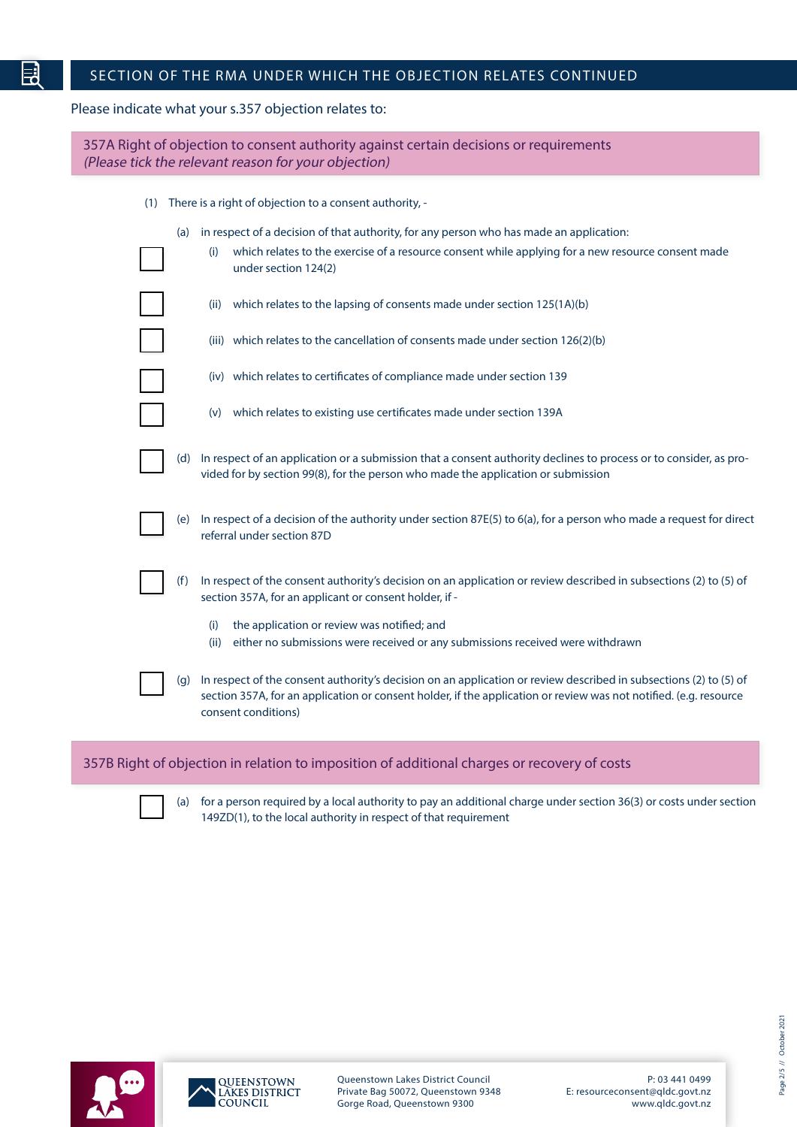# SECTION OF THE RMA UNDER WHICH THE OBJECTION RELATES CONTINUED

#### Please indicate what your s.357 objection relates to:

E

| 357A Right of objection to consent authority against certain decisions or requirements<br>(Please tick the relevant reason for your objection)                                                                                                                       |
|----------------------------------------------------------------------------------------------------------------------------------------------------------------------------------------------------------------------------------------------------------------------|
| There is a right of objection to a consent authority, -<br>(1)                                                                                                                                                                                                       |
| in respect of a decision of that authority, for any person who has made an application:<br>(a)                                                                                                                                                                       |
| which relates to the exercise of a resource consent while applying for a new resource consent made<br>(i)<br>under section 124(2)                                                                                                                                    |
| which relates to the lapsing of consents made under section 125(1A)(b)<br>(ii)                                                                                                                                                                                       |
| (iii) which relates to the cancellation of consents made under section 126(2)(b)                                                                                                                                                                                     |
| (iv) which relates to certificates of compliance made under section 139                                                                                                                                                                                              |
| (v) which relates to existing use certificates made under section 139A                                                                                                                                                                                               |
| (d) In respect of an application or a submission that a consent authority declines to process or to consider, as pro-<br>vided for by section 99(8), for the person who made the application or submission                                                           |
| In respect of a decision of the authority under section 87E(5) to 6(a), for a person who made a request for direct<br>(e)<br>referral under section 87D                                                                                                              |
| In respect of the consent authority's decision on an application or review described in subsections (2) to (5) of<br>(f)<br>section 357A, for an applicant or consent holder, if -                                                                                   |
| the application or review was notified; and<br>(i)<br>either no submissions were received or any submissions received were withdrawn<br>(ii)                                                                                                                         |
| In respect of the consent authority's decision on an application or review described in subsections (2) to (5) of<br>(q)<br>section 357A, for an application or consent holder, if the application or review was not notified. (e.g. resource<br>consent conditions) |
| 357B Right of objection in relation to imposition of additional charges or recovery of costs                                                                                                                                                                         |

(a) for a person required by a local authority to pay an additional charge under section 36(3) or costs under section 149ZD(1), to the local authority in respect of that requirement



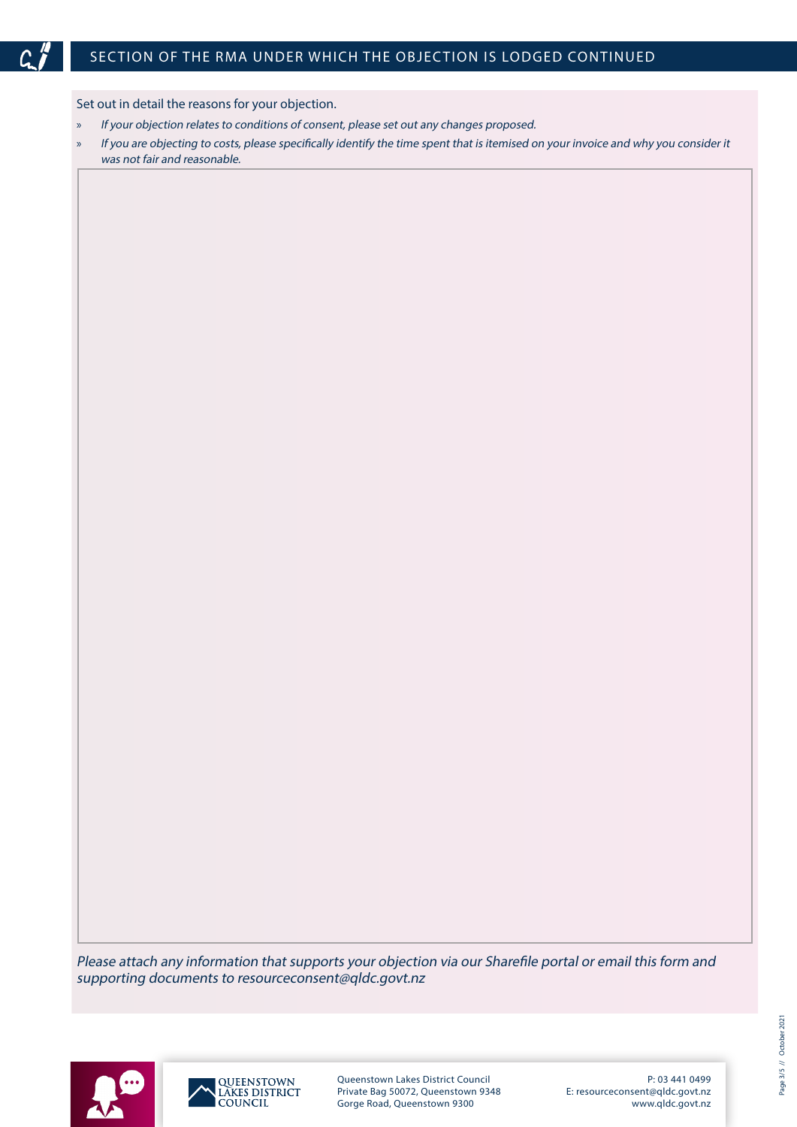

# SECTION OF THE RMA UNDER WHICH THE OBJECTION IS LODGED CONTINUED

Set out in detail the reasons for your objection.

- » If your objection relates to conditions of consent, please set out any changes proposed.
- » If you are objecting to costs, please specifically identify the time spent that is itemised on your invoice and why you consider it was not fair and reasonable.

Please attach any information that supports your objection via our Sharefile portal or email this form and supporting documents to resourceconsent@qldc.govt.nz





Queenstown Lakes District Council Private Bag 50072, Queenstown 9348 Gorge Road, Queenstown 9300

P: 03 441 0499 E: resourceconsent@qldc.govt.nz www.qldc.govt.nz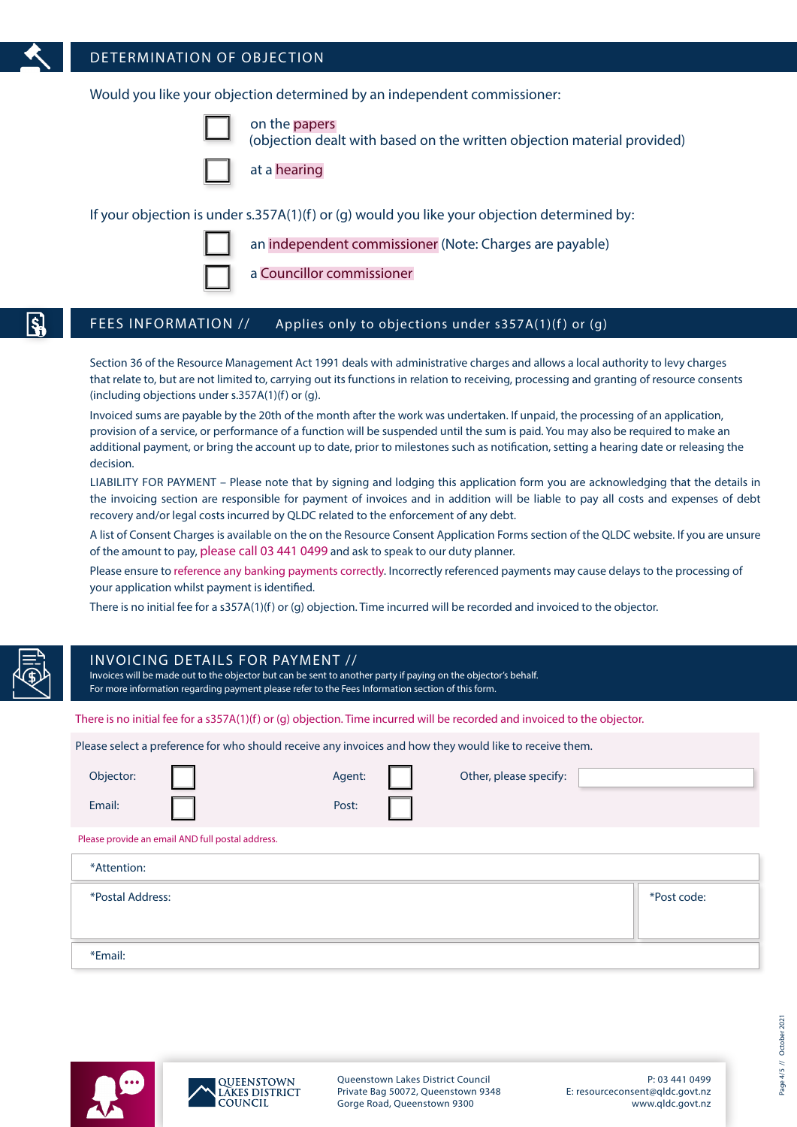

### DETERMINATION OF OBJECTION

Would you like your objection determined by an independent commissioner:

on the papers

(objection dealt with based on the written objection material provided)

at a hearing

If your objection is under s.357A(1)(f) or (g) would you like your objection determined by:



a Councillor commissioner

#### FEES INFORMATION // Applies only to objections under s357A(1)(f) or (g)

Section 36 of the Resource Management Act 1991 deals with administrative charges and allows a local authority to levy charges that relate to, but are not limited to, carrying out its functions in relation to receiving, processing and granting of resource consents (including objections under s.357A(1)(f) or (g).

an independent commissioner (Note: Charges are payable)

Invoiced sums are payable by the 20th of the month after the work was undertaken. If unpaid, the processing of an application, provision of a service, or performance of a function will be suspended until the sum is paid. You may also be required to make an additional payment, or bring the account up to date, prior to milestones such as notification, setting a hearing date or releasing the decision.

LIABILITY FOR PAYMENT – Please note that by signing and lodging this application form you are acknowledging that the details in the invoicing section are responsible for payment of invoices and in addition will be liable to pay all costs and expenses of debt recovery and/or legal costs incurred by QLDC related to the enforcement of any debt.

A list of Consent Charges is available on the on the Resource Consent Application Forms section of the QLDC website. If you are unsure of the amount to pay, please call 03 441 0499 and ask to speak to our duty planner.

Please ensure to reference any banking payments correctly. Incorrectly referenced payments may cause delays to the processing of your application whilst payment is identified.

There is no initial fee for a s357A(1)(f) or (g) objection. Time incurred will be recorded and invoiced to the objector.

## INVOICING DE TAILS FOR PAYMENT //

Invoices will be made out to the objector but can be sent to another party if paying on the objector's behalf. For more information regarding payment please refer to the Fees Information section of this form.

There is no initial fee for a s357A(1)(f) or (g) objection. Time incurred will be recorded and invoiced to the objector.

Please select a preference for who should receive any invoices and how they would like to receive them.

| Objector:        |                                                  | Agent: | Other, please specify: |             |
|------------------|--------------------------------------------------|--------|------------------------|-------------|
| Email:           |                                                  | Post:  |                        |             |
|                  | Please provide an email AND full postal address. |        |                        |             |
| *Attention:      |                                                  |        |                        |             |
| *Postal Address: |                                                  |        |                        | *Post code: |
|                  |                                                  |        |                        |             |
| *Email:          |                                                  |        |                        |             |





Queenstown Lakes District Council Private Bag 50072, Queenstown 9348 Gorge Road, Queenstown 9300

P: 03 441 0499 E: resourceconsent@qldc.govt.nz www.qldc.govt.nz